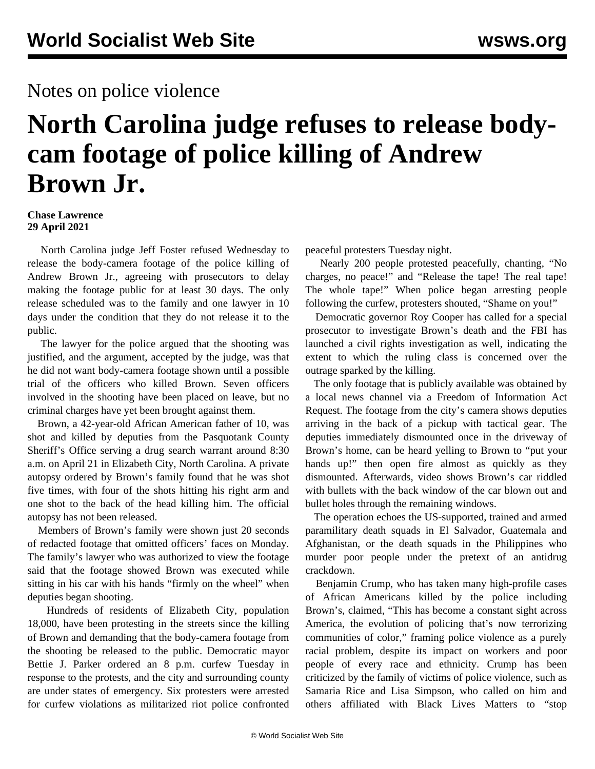## Notes on police violence

# **North Carolina judge refuses to release bodycam footage of police killing of Andrew Brown Jr.**

#### **Chase Lawrence 29 April 2021**

 North Carolina judge Jeff Foster refused Wednesday to release the body-camera footage of the police killing of Andrew Brown Jr., agreeing with prosecutors to delay making the footage public for at least 30 days. The only release scheduled was to the family and one lawyer in 10 days under the condition that they do not release it to the public.

 The lawyer for the police argued that the shooting was justified, and the argument, accepted by the judge, was that he did not want body-camera footage shown until a possible trial of the officers who killed Brown. Seven officers involved in the shooting have been placed on leave, but no criminal charges have yet been brought against them.

 Brown, a 42-year-old African American father of 10, was shot and killed by deputies from the Pasquotank County Sheriff's Office serving a drug search warrant around 8:30 a.m. on April 21 in Elizabeth City, North Carolina. A private autopsy ordered by Brown's family found that he was shot five times, with four of the shots hitting his right arm and one shot to the back of the head killing him. The official autopsy has not been released.

 Members of Brown's family were shown just 20 seconds of redacted footage that omitted officers' faces on Monday. The family's lawyer who was authorized to view the footage said that the footage showed Brown was executed while sitting in his car with his hands "firmly on the wheel" when deputies began shooting.

 Hundreds of residents of Elizabeth City, population 18,000, have been protesting in the streets since the killing of Brown and demanding that the body-camera footage from the shooting be released to the public. Democratic mayor Bettie J. Parker ordered an 8 p.m. curfew Tuesday in response to the protests, and the city and surrounding county are under states of emergency. Six protesters were arrested for curfew violations as militarized riot police confronted peaceful protesters Tuesday night.

 Nearly 200 people protested peacefully, chanting, "No charges, no peace!" and "Release the tape! The real tape! The whole tape!" When police began arresting people following the curfew, protesters shouted, "Shame on you!"

 Democratic governor Roy Cooper has called for a special prosecutor to investigate Brown's death and the FBI has launched a civil rights investigation as well, indicating the extent to which the ruling class is concerned over the outrage sparked by the killing.

 The only footage that is publicly available was obtained by a local news channel via a Freedom of Information Act Request. The footage from the city's camera shows deputies arriving in the back of a pickup with tactical gear. The deputies immediately dismounted once in the driveway of Brown's home, can be heard yelling to Brown to "put your hands up!" then open fire almost as quickly as they dismounted. Afterwards, video shows Brown's car riddled with bullets with the back window of the car blown out and bullet holes through the remaining windows.

 The operation echoes the US-supported, trained and armed paramilitary death squads in El Salvador, Guatemala and Afghanistan, or the death squads in the Philippines who murder poor people under the pretext of an antidrug crackdown.

 Benjamin Crump, who has taken many high-profile cases of African Americans killed by the police including Brown's, claimed, "This has become a constant sight across America, the evolution of policing that's now terrorizing communities of color," framing police violence as a purely racial problem, despite its impact on workers and poor people of every race and ethnicity. Crump has been [criticized](/en/articles/2021/03/20/blma-m20.html) by the family of victims of police violence, such as Samaria Rice and Lisa Simpson, who called on him and others affiliated with Black Lives Matters to "stop